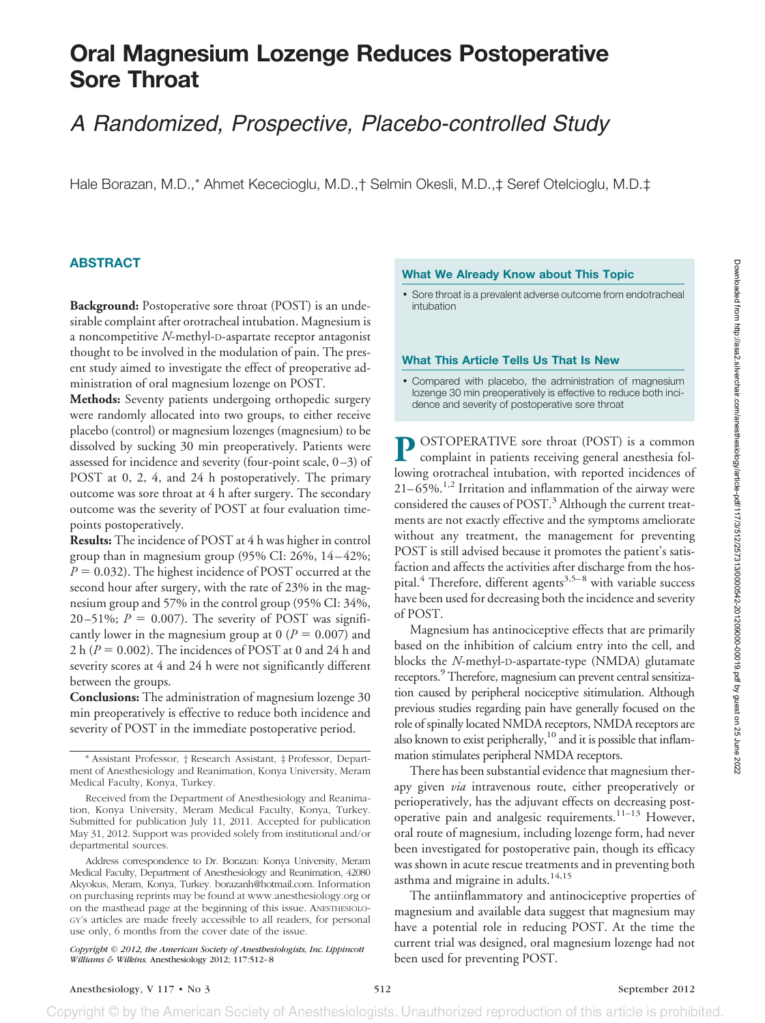# **Oral Magnesium Lozenge Reduces Postoperative Sore Throat**

# *A Randomized, Prospective, Placebo-controlled Study*

Hale Borazan, M.D.,\* Ahmet Kececioglu, M.D.,† Selmin Okesli, M.D.,‡ Seref Otelcioglu, M.D.‡

## **ABSTRACT**

**Background:** Postoperative sore throat (POST) is an undesirable complaint after orotracheal intubation. Magnesium is a noncompetitive *N*-methyl-D-aspartate receptor antagonist thought to be involved in the modulation of pain. The present study aimed to investigate the effect of preoperative administration of oral magnesium lozenge on POST.

**Methods:** Seventy patients undergoing orthopedic surgery were randomly allocated into two groups, to either receive placebo (control) or magnesium lozenges (magnesium) to be dissolved by sucking 30 min preoperatively. Patients were assessed for incidence and severity (four-point scale,  $0-3$ ) of POST at 0, 2, 4, and 24 h postoperatively. The primary outcome was sore throat at 4 h after surgery. The secondary outcome was the severity of POST at four evaluation timepoints postoperatively.

**Results:** The incidence of POST at 4 h was higher in control group than in magnesium group (95% CI: 26%, 14 – 42%;  $P = 0.032$ ). The highest incidence of POST occurred at the second hour after surgery, with the rate of 23% in the magnesium group and 57% in the control group (95% CI: 34%, 20 –51%;  $P = 0.007$ ). The severity of POST was significantly lower in the magnesium group at  $0$  ( $P = 0.007$ ) and 2 h  $(P = 0.002)$ . The incidences of POST at 0 and 24 h and severity scores at 4 and 24 h were not significantly different between the groups.

**Conclusions:** The administration of magnesium lozenge 30 min preoperatively is effective to reduce both incidence and severity of POST in the immediate postoperative period.

#### **What We Already Know about This Topic**

• Sore throat is a prevalent adverse outcome from endotracheal intubation

#### **What This Article Tells Us That Is New**

• Compared with placebo, the administration of magnesium lozenge 30 min preoperatively is effective to reduce both incidence and severity of postoperative sore throat

**P** OSTOPERATIVE sore throat (POST) is a common complaint in patients receiving general anesthesia following orotracheal intubation, with reported incidences of  $21-65\%$ .<sup>1,2</sup> Irritation and inflammation of the airway were considered the causes of POST.<sup>3</sup> Although the current treatments are not exactly effective and the symptoms ameliorate without any treatment, the management for preventing POST is still advised because it promotes the patient's satisfaction and affects the activities after discharge from the hospital.<sup>4</sup> Therefore, different agents<sup>3,5-8</sup> with variable success have been used for decreasing both the incidence and severity of POST.

Magnesium has antinociceptive effects that are primarily based on the inhibition of calcium entry into the cell, and blocks the *N*-methyl-D-aspartate-type (NMDA) glutamate receptors.<sup>9</sup> Therefore, magnesium can prevent central sensitization caused by peripheral nociceptive sitimulation. Although previous studies regarding pain have generally focused on the role of spinally located NMDA receptors, NMDA receptors are also known to exist peripherally, $10$  and it is possible that inflammation stimulates peripheral NMDA receptors.

There has been substantial evidence that magnesium therapy given *via* intravenous route, either preoperatively or perioperatively, has the adjuvant effects on decreasing postoperative pain and analgesic requirements.<sup>11-13</sup> However, oral route of magnesium, including lozenge form, had never been investigated for postoperative pain, though its efficacy was shown in acute rescue treatments and in preventing both asthma and migraine in adults.  $^{14,15}$ 

The antiinflammatory and antinociceptive properties of magnesium and available data suggest that magnesium may have a potential role in reducing POST. At the time the current trial was designed, oral magnesium lozenge had not been used for preventing POST.

<sup>\*</sup> Assistant Professor, † Research Assistant, ‡ Professor, Department of Anesthesiology and Reanimation, Konya University, Meram Medical Faculty, Konya, Turkey.

Received from the Department of Anesthesiology and Reanimation, Konya University, Meram Medical Faculty, Konya, Turkey. Submitted for publication July 11, 2011. Accepted for publication May 31, 2012. Support was provided solely from institutional and/or departmental sources.

Address correspondence to Dr. Borazan: Konya University, Meram Medical Faculty, Department of Anesthesiology and Reanimation, 42080 Akyokus, Meram, Konya, Turkey. borazanh@hotmail.com. Information on purchasing reprints may be found at<www.anesthesiology.org> or on the masthead page at the beginning of this issue. ANESTHESIOLO-GY's articles are made freely accessible to all readers, for personal use only, 6 months from the cover date of the issue.

*Copyright © 2012, the American Society of Anesthesiologists, Inc. Lippincott Williams & Wilkins.* Anesthesiology 2012; 117:512–8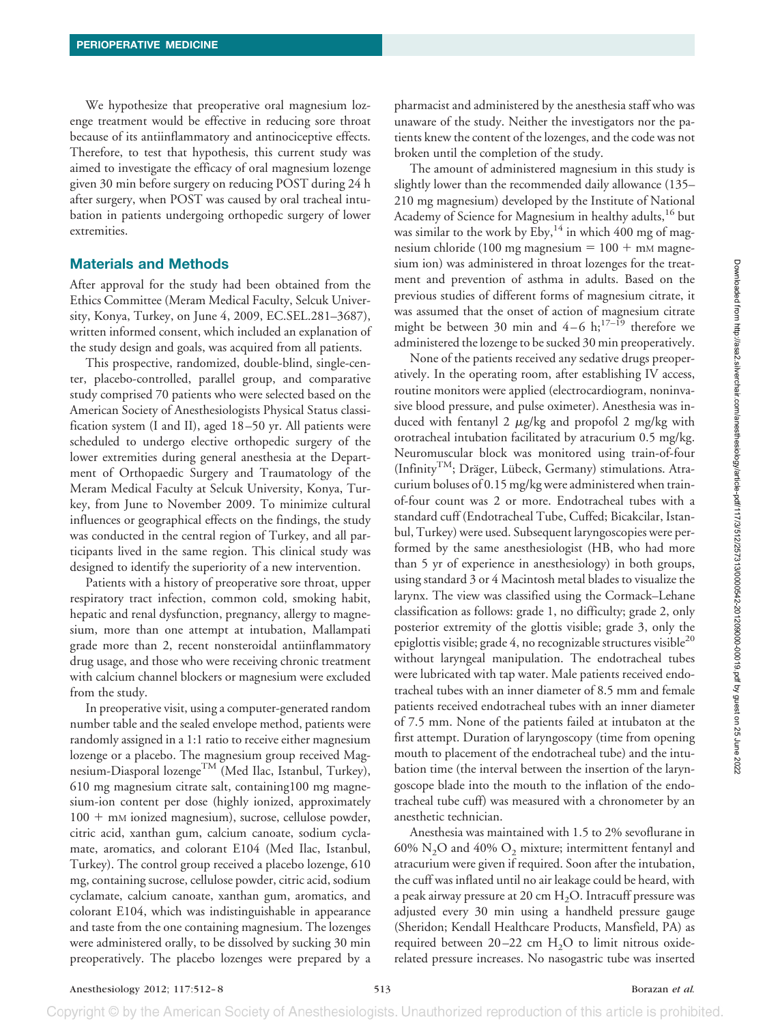We hypothesize that preoperative oral magnesium lozenge treatment would be effective in reducing sore throat because of its antiinflammatory and antinociceptive effects. Therefore, to test that hypothesis, this current study was aimed to investigate the efficacy of oral magnesium lozenge given 30 min before surgery on reducing POST during 24 h after surgery, when POST was caused by oral tracheal intubation in patients undergoing orthopedic surgery of lower extremities.

## **Materials and Methods**

After approval for the study had been obtained from the Ethics Committee (Meram Medical Faculty, Selcuk University, Konya, Turkey, on June 4, 2009, EC.SEL.281–3687), written informed consent, which included an explanation of the study design and goals, was acquired from all patients.

This prospective, randomized, double-blind, single-center, placebo-controlled, parallel group, and comparative study comprised 70 patients who were selected based on the American Society of Anesthesiologists Physical Status classification system (I and II), aged 18-50 yr. All patients were scheduled to undergo elective orthopedic surgery of the lower extremities during general anesthesia at the Department of Orthopaedic Surgery and Traumatology of the Meram Medical Faculty at Selcuk University, Konya, Turkey, from June to November 2009. To minimize cultural influences or geographical effects on the findings, the study was conducted in the central region of Turkey, and all participants lived in the same region. This clinical study was designed to identify the superiority of a new intervention.

Patients with a history of preoperative sore throat, upper respiratory tract infection, common cold, smoking habit, hepatic and renal dysfunction, pregnancy, allergy to magnesium, more than one attempt at intubation, Mallampati grade more than 2, recent nonsteroidal antiinflammatory drug usage, and those who were receiving chronic treatment with calcium channel blockers or magnesium were excluded from the study.

In preoperative visit, using a computer-generated random number table and the sealed envelope method, patients were randomly assigned in a 1:1 ratio to receive either magnesium lozenge or a placebo. The magnesium group received Magnesium-Diasporal lozenge<sup>TM</sup> (Med Ilac, Istanbul, Turkey), 610 mg magnesium citrate salt, containing100 mg magnesium-ion content per dose (highly ionized, approximately 100 + mM ionized magnesium), sucrose, cellulose powder, citric acid, xanthan gum, calcium canoate, sodium cyclamate, aromatics, and colorant E104 (Med Ilac, Istanbul, Turkey). The control group received a placebo lozenge, 610 mg, containing sucrose, cellulose powder, citric acid, sodium cyclamate, calcium canoate, xanthan gum, aromatics, and colorant E104, which was indistinguishable in appearance and taste from the one containing magnesium. The lozenges were administered orally, to be dissolved by sucking 30 min preoperatively. The placebo lozenges were prepared by a

pharmacist and administered by the anesthesia staff who was unaware of the study. Neither the investigators nor the patients knew the content of the lozenges, and the code was not broken until the completion of the study.

The amount of administered magnesium in this study is slightly lower than the recommended daily allowance (135– 210 mg magnesium) developed by the Institute of National Academy of Science for Magnesium in healthy adults,<sup>16</sup> but was similar to the work by  $Eby$ ,  $^{14}$  in which 400 mg of magnesium chloride (100 mg magnesium  $= 100 + \text{mm}$  magnesium ion) was administered in throat lozenges for the treatment and prevention of asthma in adults. Based on the previous studies of different forms of magnesium citrate, it was assumed that the onset of action of magnesium citrate might be between 30 min and  $4-6$  h;<sup>17–19</sup> therefore we administered the lozenge to be sucked 30 min preoperatively.

None of the patients received any sedative drugs preoperatively. In the operating room, after establishing IV access, routine monitors were applied (electrocardiogram, noninvasive blood pressure, and pulse oximeter). Anesthesia was induced with fentanyl 2  $\mu$ g/kg and propofol 2 mg/kg with orotracheal intubation facilitated by atracurium 0.5 mg/kg. Neuromuscular block was monitored using train-of-four (Infinity<sup>TM</sup>; Dräger, Lübeck, Germany) stimulations. Atracurium boluses of 0.15 mg/kg were administered when trainof-four count was 2 or more. Endotracheal tubes with a standard cuff (Endotracheal Tube, Cuffed; Bicakcilar, Istanbul, Turkey) were used. Subsequent laryngoscopies were performed by the same anesthesiologist (HB, who had more than 5 yr of experience in anesthesiology) in both groups, using standard 3 or 4 Macintosh metal blades to visualize the larynx. The view was classified using the Cormack–Lehane classification as follows: grade 1, no difficulty; grade 2, only posterior extremity of the glottis visible; grade 3, only the epiglottis visible; grade 4, no recognizable structures visible $^{20}$ without laryngeal manipulation. The endotracheal tubes were lubricated with tap water. Male patients received endotracheal tubes with an inner diameter of 8.5 mm and female patients received endotracheal tubes with an inner diameter of 7.5 mm. None of the patients failed at intubaton at the first attempt. Duration of laryngoscopy (time from opening mouth to placement of the endotracheal tube) and the intubation time (the interval between the insertion of the laryngoscope blade into the mouth to the inflation of the endotracheal tube cuff) was measured with a chronometer by an anesthetic technician.

Anesthesia was maintained with 1.5 to 2% sevoflurane in 60%  $N<sub>2</sub>O$  and 40%  $O<sub>2</sub>$  mixture; intermittent fentanyl and atracurium were given if required. Soon after the intubation, the cuff was inflated until no air leakage could be heard, with a peak airway pressure at 20 cm  $H_2O$ . Intracuff pressure was adjusted every 30 min using a handheld pressure gauge (Sheridon; Kendall Healthcare Products, Mansfield, PA) as required between 20–22 cm  $H_2O$  to limit nitrous oxiderelated pressure increases. No nasogastric tube was inserted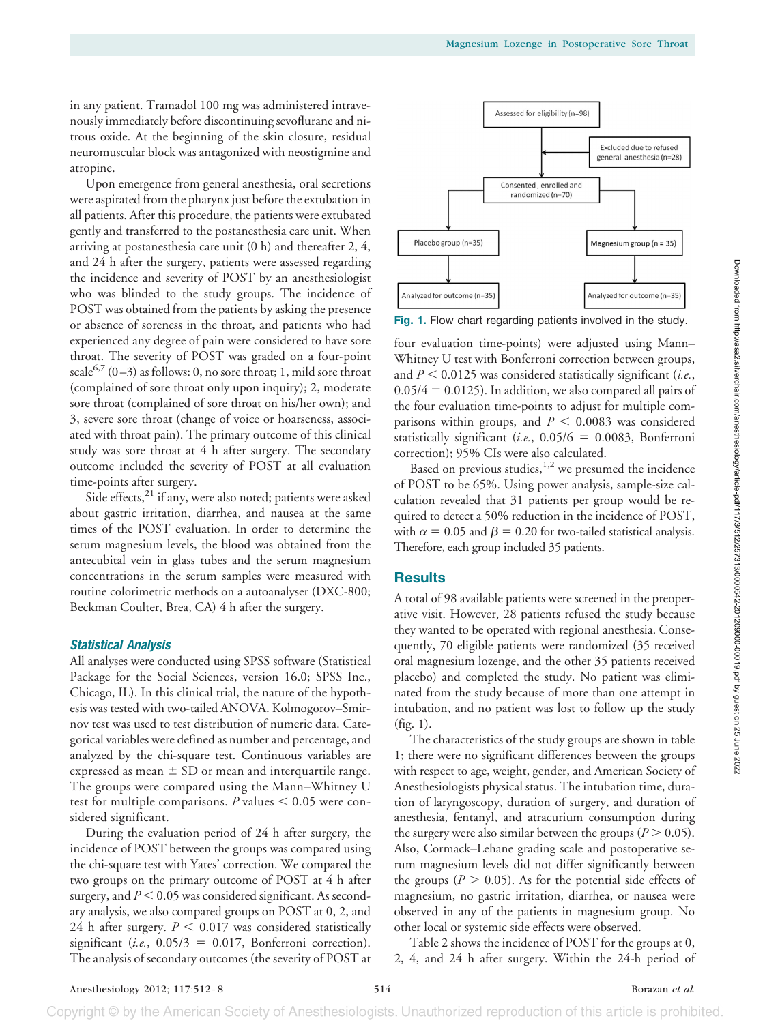in any patient. Tramadol 100 mg was administered intravenously immediately before discontinuing sevoflurane and nitrous oxide. At the beginning of the skin closure, residual neuromuscular block was antagonized with neostigmine and atropine.

Upon emergence from general anesthesia, oral secretions were aspirated from the pharynx just before the extubation in all patients. After this procedure, the patients were extubated gently and transferred to the postanesthesia care unit. When arriving at postanesthesia care unit (0 h) and thereafter 2, 4, and 24 h after the surgery, patients were assessed regarding the incidence and severity of POST by an anesthesiologist who was blinded to the study groups. The incidence of POST was obtained from the patients by asking the presence or absence of soreness in the throat, and patients who had experienced any degree of pain were considered to have sore throat. The severity of POST was graded on a four-point scale<sup>6,7</sup> (0-3) as follows: 0, no sore throat; 1, mild sore throat (complained of sore throat only upon inquiry); 2, moderate sore throat (complained of sore throat on his/her own); and 3, severe sore throat (change of voice or hoarseness, associated with throat pain). The primary outcome of this clinical study was sore throat at 4 h after surgery. The secondary outcome included the severity of POST at all evaluation time-points after surgery.

Side effects,<sup>21</sup> if any, were also noted; patients were asked about gastric irritation, diarrhea, and nausea at the same times of the POST evaluation. In order to determine the serum magnesium levels, the blood was obtained from the antecubital vein in glass tubes and the serum magnesium concentrations in the serum samples were measured with routine colorimetric methods on a autoanalyser (DXC-800; Beckman Coulter, Brea, CA) 4 h after the surgery.

#### *Statistical Analysis*

All analyses were conducted using SPSS software (Statistical Package for the Social Sciences, version 16.0; SPSS Inc., Chicago, IL). In this clinical trial, the nature of the hypothesis was tested with two-tailed ANOVA. Kolmogorov–Smirnov test was used to test distribution of numeric data. Categorical variables were defined as number and percentage, and analyzed by the chi-square test. Continuous variables are expressed as mean  $\pm$  SD or mean and interquartile range. The groups were compared using the Mann–Whitney U test for multiple comparisons.  $P$  values  $\leq 0.05$  were considered significant.

During the evaluation period of 24 h after surgery, the incidence of POST between the groups was compared using the chi-square test with Yates' correction. We compared the two groups on the primary outcome of POST at 4 h after surgery, and  $P < 0.05$  was considered significant. As secondary analysis, we also compared groups on POST at 0, 2, and 24 h after surgery.  $P < 0.017$  was considered statistically significant (*i.e.*,  $0.05/3 = 0.017$ , Bonferroni correction). The analysis of secondary outcomes (the severity of POST at



**Fig. 1.** Flow chart regarding patients involved in the study.

four evaluation time-points) were adjusted using Mann– Whitney U test with Bonferroni correction between groups, and  $P \leq 0.0125$  was considered statistically significant (*i.e.*,  $0.05/4 = 0.0125$ . In addition, we also compared all pairs of the four evaluation time-points to adjust for multiple comparisons within groups, and  $P < 0.0083$  was considered statistically significant (*i.e.*,  $0.05/6 = 0.0083$ , Bonferroni correction); 95% CIs were also calculated.

Based on previous studies, $1,2$  we presumed the incidence of POST to be 65%. Using power analysis, sample-size calculation revealed that 31 patients per group would be required to detect a 50% reduction in the incidence of POST, with  $\alpha = 0.05$  and  $\beta = 0.20$  for two-tailed statistical analysis. Therefore, each group included 35 patients.

# **Results**

A total of 98 available patients were screened in the preoperative visit. However, 28 patients refused the study because they wanted to be operated with regional anesthesia. Consequently, 70 eligible patients were randomized (35 received oral magnesium lozenge, and the other 35 patients received placebo) and completed the study. No patient was eliminated from the study because of more than one attempt in intubation, and no patient was lost to follow up the study (fig. 1).

The characteristics of the study groups are shown in table 1; there were no significant differences between the groups with respect to age, weight, gender, and American Society of Anesthesiologists physical status. The intubation time, duration of laryngoscopy, duration of surgery, and duration of anesthesia, fentanyl, and atracurium consumption during the surgery were also similar between the groups ( $P > 0.05$ ). Also, Cormack–Lehane grading scale and postoperative serum magnesium levels did not differ significantly between the groups ( $P > 0.05$ ). As for the potential side effects of magnesium, no gastric irritation, diarrhea, or nausea were observed in any of the patients in magnesium group. No other local or systemic side effects were observed.

Table 2 shows the incidence of POST for the groups at 0, 2, 4, and 24 h after surgery. Within the 24-h period of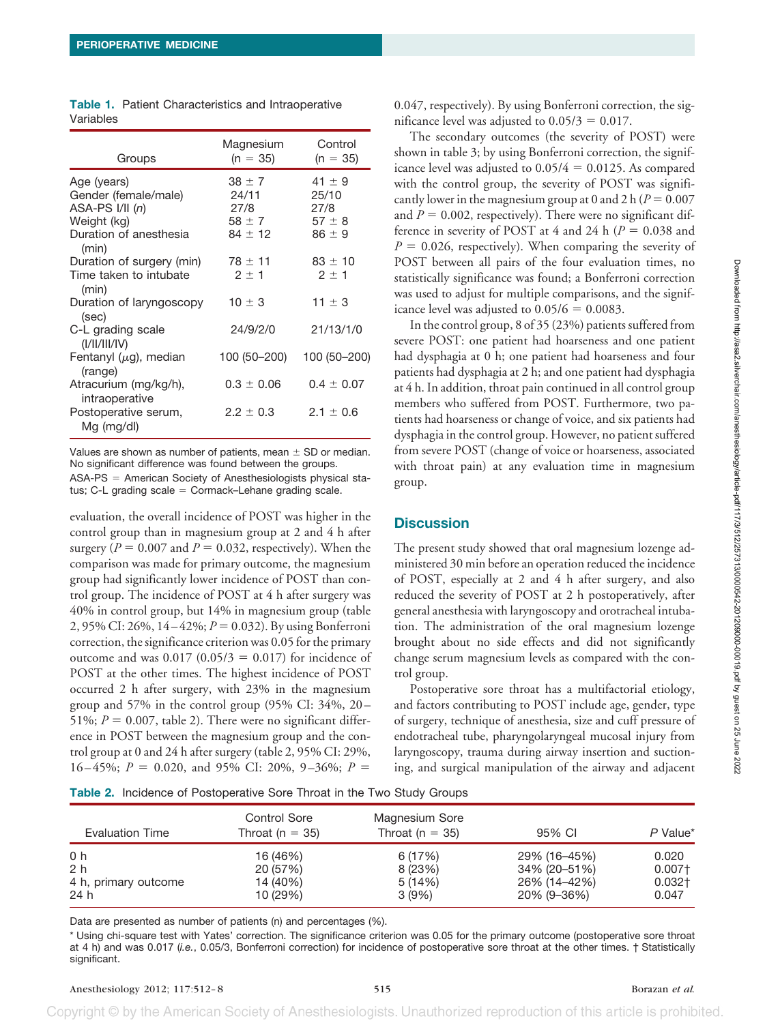| Groups                                  | Magnesium<br>$(n = 35)$ | Control<br>$(n = 35)$ |
|-----------------------------------------|-------------------------|-----------------------|
| Age (years)                             | $38 \pm 7$              | $41 \pm 9$            |
| Gender (female/male)                    | 24/11                   | 25/10                 |
| ASA-PS I/II (n)                         | 27/8                    | 27/8                  |
| Weight (kg)                             | $58 \pm 7$              | $57 \pm 8$            |
| Duration of anesthesia<br>(min)         | $84 \pm 12$             | $86 \pm 9$            |
| Duration of surgery (min)               | $78 \pm 11$             | $83 \pm 10$           |
| Time taken to intubate<br>(min)         | $2 \pm 1$               | $2 \pm 1$             |
| Duration of laryngoscopy<br>(sec)       | $10 \pm 3$              | $11 \pm 3$            |
| C-L grading scale<br>(I/II/III/IV)      | 24/9/2/0                | 21/13/1/0             |
| Fentanyl ( $\mu$ g), median<br>(range)  | 100 (50-200)            | 100 (50-200)          |
| Atracurium (mg/kg/h),<br>intraoperative | $0.3 \pm 0.06$          | $0.4 \pm 0.07$        |
| Postoperative serum,<br>Mg (mg/dl)      | $2.2 \pm 0.3$           | $2.1 \pm 0.6$         |

**Table 1.** Patient Characteristics and Intraoperative Variables

Values are shown as number of patients, mean  $\pm$  SD or median. No significant difference was found between the groups.

ASA-PS = American Society of Anesthesiologists physical status; C-L grading  $scale =$  Cormack–Lehane grading scale.

evaluation, the overall incidence of POST was higher in the control group than in magnesium group at 2 and 4 h after surgery  $(P = 0.007$  and  $P = 0.032$ , respectively). When the comparison was made for primary outcome, the magnesium group had significantly lower incidence of POST than control group. The incidence of POST at 4 h after surgery was 40% in control group, but 14% in magnesium group (table 2, 95% CI: 26%,  $14 - 42\%$ ;  $P = 0.032$ ). By using Bonferroni correction, the significance criterion was 0.05 for the primary outcome and was  $0.017$   $(0.05/3 = 0.017)$  for incidence of POST at the other times. The highest incidence of POST occurred 2 h after surgery, with 23% in the magnesium group and  $57\%$  in the control group (95% CI:  $34\%$ , 20 – 51%;  $P = 0.007$ , table 2). There were no significant difference in POST between the magnesium group and the control group at 0 and 24 h after surgery (table 2, 95% CI: 29%,  $16 - 45\%$ ;  $P = 0.020$ , and 95% CI: 20%, 9-36%;  $P =$ 

0.047, respectively). By using Bonferroni correction, the significance level was adjusted to  $0.05/3 = 0.017$ .

The secondary outcomes (the severity of POST) were shown in table 3; by using Bonferroni correction, the significance level was adjusted to  $0.05/4 = 0.0125$ . As compared with the control group, the severity of POST was significantly lower in the magnesium group at 0 and 2 h ( $P = 0.007$ ) and  $P = 0.002$ , respectively). There were no significant difference in severity of POST at 4 and 24 h  $(P = 0.038$  and  $P = 0.026$ , respectively). When comparing the severity of POST between all pairs of the four evaluation times, no statistically significance was found; a Bonferroni correction was used to adjust for multiple comparisons, and the significance level was adjusted to  $0.05/6 = 0.0083$ .

In the control group, 8 of 35 (23%) patients suffered from severe POST: one patient had hoarseness and one patient had dysphagia at 0 h; one patient had hoarseness and four patients had dysphagia at 2 h; and one patient had dysphagia at 4 h. In addition, throat pain continued in all control group members who suffered from POST. Furthermore, two patients had hoarseness or change of voice, and six patients had dysphagia in the control group. However, no patient suffered from severe POST (change of voice or hoarseness, associated with throat pain) at any evaluation time in magnesium group.

# **Discussion**

The present study showed that oral magnesium lozenge administered 30 min before an operation reduced the incidence of POST, especially at 2 and 4 h after surgery, and also reduced the severity of POST at 2 h postoperatively, after general anesthesia with laryngoscopy and orotracheal intubation. The administration of the oral magnesium lozenge brought about no side effects and did not significantly change serum magnesium levels as compared with the control group.

Postoperative sore throat has a multifactorial etiology, and factors contributing to POST include age, gender, type of surgery, technique of anesthesia, size and cuff pressure of endotracheal tube, pharyngolaryngeal mucosal injury from laryngoscopy, trauma during airway insertion and suctioning, and surgical manipulation of the airway and adjacent

**Table 2.** Incidence of Postoperative Sore Throat in the Two Study Groups

| <b>Evaluation Time</b> | Control Sore<br>Throat (n = $35$ ) | Magnesium Sore<br>Throat ( $n = 35$ ) | 95% CI       | P Value* |
|------------------------|------------------------------------|---------------------------------------|--------------|----------|
| 0 h                    | 16 (46%)                           | 6(17%)                                | 29% (16–45%) | 0.020    |
| 2 <sub>h</sub>         | 20 (57%)                           | 8 (23%)                               | 34% (20–51%) | $0.007+$ |
| 4 h, primary outcome   | 14 (40%)                           | 5(14%)                                | 26% (14–42%) | $0.032+$ |
| 24 h                   | 10 (29%)                           | 3(9%)                                 | 20% (9-36%)  | 0.047    |

Data are presented as number of patients (n) and percentages (%).

\* Using chi-square test with Yates' correction. The significance criterion was 0.05 for the primary outcome (postoperative sore throat at 4 h) and was 0.017 (*i.e.*, 0.05/3, Bonferroni correction) for incidence of postoperative sore throat at the other times. † Statistically significant.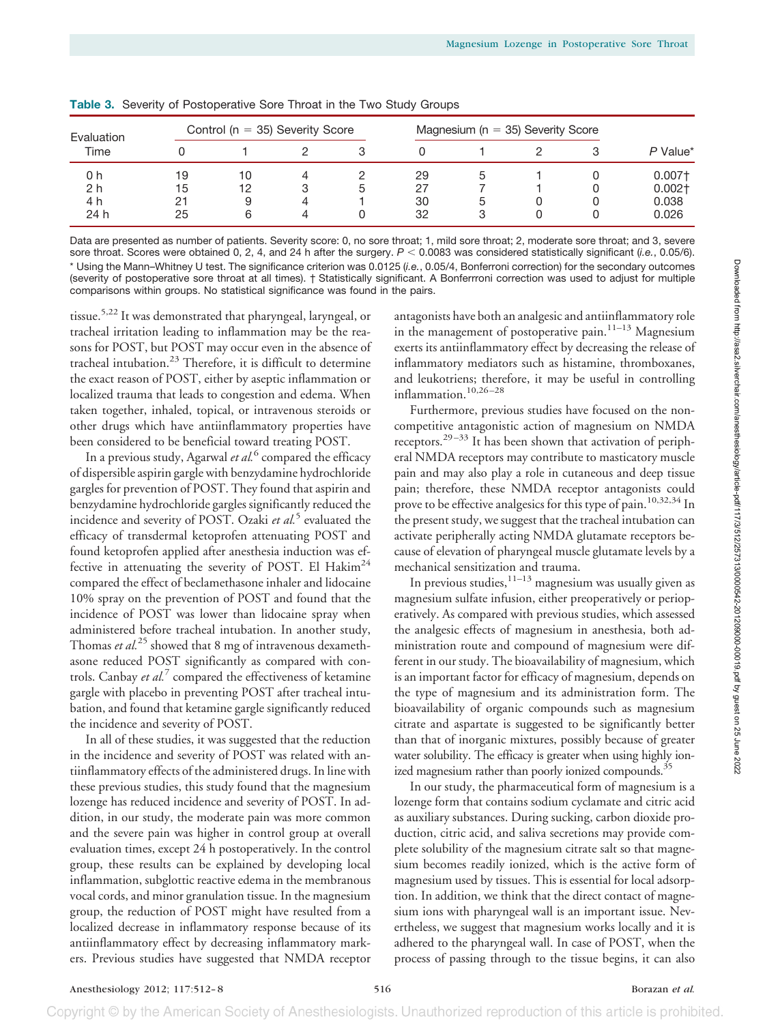| Evaluation<br>Time |    | Control ( $n = 35$ ) Severity Score |   |   | Magnesium ( $n = 35$ ) Severity Score |   |  |  |          |
|--------------------|----|-------------------------------------|---|---|---------------------------------------|---|--|--|----------|
|                    |    |                                     |   |   |                                       |   |  |  | P Value* |
| 0 h                | 19 | 10                                  | 4 |   | 29                                    |   |  |  | $0.007+$ |
| 2 h                | 15 | 12                                  | З | b | 27                                    |   |  |  | $0.002+$ |
| 4 h                | 21 | 9                                   | 4 |   | 30                                    | 5 |  |  | 0.038    |
| 24 h               | 25 | 6                                   | 4 |   | 32                                    |   |  |  | 0.026    |

|  |  |  | Table 3. Severity of Postoperative Sore Throat in the Two Study Groups |  |  |  |  |
|--|--|--|------------------------------------------------------------------------|--|--|--|--|
|--|--|--|------------------------------------------------------------------------|--|--|--|--|

Data are presented as number of patients. Severity score: 0, no sore throat; 1, mild sore throat; 2, moderate sore throat; and 3, severe sore throat. Scores were obtained 0, 2, 4, and 24 h after the surgery.  $P < 0.0083$  was considered statistically significant (*i.e.*, 0.05/6). \* Using the Mann–Whitney U test. The significance criterion was 0.0125 (*i.e.*, 0.05/4, Bonferroni correction) for the secondary outcomes (severity of postoperative sore throat at all times). † Statistically significant. A Bonferrroni correction was used to adjust for multiple comparisons within groups. No statistical significance was found in the pairs.

tissue.5,22 It was demonstrated that pharyngeal, laryngeal, or tracheal irritation leading to inflammation may be the reasons for POST, but POST may occur even in the absence of tracheal intubation.23 Therefore, it is difficult to determine the exact reason of POST, either by aseptic inflammation or localized trauma that leads to congestion and edema. When taken together, inhaled, topical, or intravenous steroids or other drugs which have antiinflammatory properties have been considered to be beneficial toward treating POST.

In a previous study, Agarwal *et al.*<sup>6</sup> compared the efficacy of dispersible aspirin gargle with benzydamine hydrochloride gargles for prevention of POST. They found that aspirin and benzydamine hydrochloride gargles significantly reduced the incidence and severity of POST. Ozaki *et al.*<sup>5</sup> evaluated the efficacy of transdermal ketoprofen attenuating POST and found ketoprofen applied after anesthesia induction was effective in attenuating the severity of POST. El Hakim<sup>24</sup> compared the effect of beclamethasone inhaler and lidocaine 10% spray on the prevention of POST and found that the incidence of POST was lower than lidocaine spray when administered before tracheal intubation. In another study, Thomas *et al.*<sup>25</sup> showed that 8 mg of intravenous dexamethasone reduced POST significantly as compared with controls. Canbay *et al.*<sup>7</sup> compared the effectiveness of ketamine gargle with placebo in preventing POST after tracheal intubation, and found that ketamine gargle significantly reduced the incidence and severity of POST.

In all of these studies, it was suggested that the reduction in the incidence and severity of POST was related with antiinflammatory effects of the administered drugs. In line with these previous studies, this study found that the magnesium lozenge has reduced incidence and severity of POST. In addition, in our study, the moderate pain was more common and the severe pain was higher in control group at overall evaluation times, except 24 h postoperatively. In the control group, these results can be explained by developing local inflammation, subglottic reactive edema in the membranous vocal cords, and minor granulation tissue. In the magnesium group, the reduction of POST might have resulted from a localized decrease in inflammatory response because of its antiinflammatory effect by decreasing inflammatory markers. Previous studies have suggested that NMDA receptor

antagonists have both an analgesic and antiinflammatory role in the management of postoperative pain. $11-13$  Magnesium exerts its antiinflammatory effect by decreasing the release of inflammatory mediators such as histamine, thromboxanes, and leukotriens; therefore, it may be useful in controlling inflammation.<sup>10,26-28</sup>

Furthermore, previous studies have focused on the noncompetitive antagonistic action of magnesium on NMDA receptors.<sup>29-33</sup> It has been shown that activation of peripheral NMDA receptors may contribute to masticatory muscle pain and may also play a role in cutaneous and deep tissue pain; therefore, these NMDA receptor antagonists could prove to be effective analgesics for this type of pain.<sup>10,32,34</sup> In the present study, we suggest that the tracheal intubation can activate peripherally acting NMDA glutamate receptors because of elevation of pharyngeal muscle glutamate levels by a mechanical sensitization and trauma.

In previous studies,  $11-13$  magnesium was usually given as magnesium sulfate infusion, either preoperatively or perioperatively. As compared with previous studies, which assessed the analgesic effects of magnesium in anesthesia, both administration route and compound of magnesium were different in our study. The bioavailability of magnesium, which is an important factor for efficacy of magnesium, depends on the type of magnesium and its administration form. The bioavailability of organic compounds such as magnesium citrate and aspartate is suggested to be significantly better than that of inorganic mixtures, possibly because of greater water solubility. The efficacy is greater when using highly ionized magnesium rather than poorly ionized compounds.<sup>35</sup>

In our study, the pharmaceutical form of magnesium is a lozenge form that contains sodium cyclamate and citric acid as auxiliary substances. During sucking, carbon dioxide production, citric acid, and saliva secretions may provide complete solubility of the magnesium citrate salt so that magnesium becomes readily ionized, which is the active form of magnesium used by tissues. This is essential for local adsorption. In addition, we think that the direct contact of magnesium ions with pharyngeal wall is an important issue. Nevertheless, we suggest that magnesium works locally and it is adhered to the pharyngeal wall. In case of POST, when the process of passing through to the tissue begins, it can also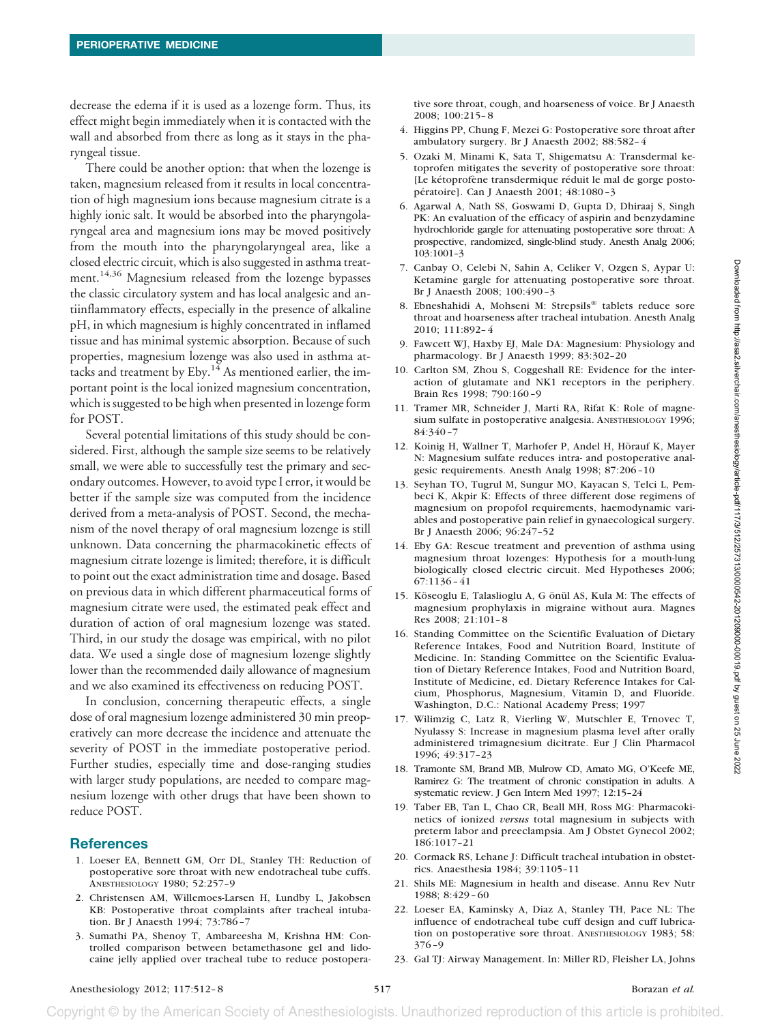decrease the edema if it is used as a lozenge form. Thus, its effect might begin immediately when it is contacted with the wall and absorbed from there as long as it stays in the pharyngeal tissue.

There could be another option: that when the lozenge is taken, magnesium released from it results in local concentration of high magnesium ions because magnesium citrate is a highly ionic salt. It would be absorbed into the pharyngolaryngeal area and magnesium ions may be moved positively from the mouth into the pharyngolaryngeal area, like a closed electric circuit, which is also suggested in asthma treatment.14,36 Magnesium released from the lozenge bypasses the classic circulatory system and has local analgesic and antiinflammatory effects, especially in the presence of alkaline pH, in which magnesium is highly concentrated in inflamed tissue and has minimal systemic absorption. Because of such properties, magnesium lozenge was also used in asthma attacks and treatment by  $Eby.<sup>14</sup>$  As mentioned earlier, the important point is the local ionized magnesium concentration, which is suggested to be high when presented in lozenge form for POST.

Several potential limitations of this study should be considered. First, although the sample size seems to be relatively small, we were able to successfully test the primary and secondary outcomes. However, to avoid type I error, it would be better if the sample size was computed from the incidence derived from a meta-analysis of POST. Second, the mechanism of the novel therapy of oral magnesium lozenge is still unknown. Data concerning the pharmacokinetic effects of magnesium citrate lozenge is limited; therefore, it is difficult to point out the exact administration time and dosage. Based on previous data in which different pharmaceutical forms of magnesium citrate were used, the estimated peak effect and duration of action of oral magnesium lozenge was stated. Third, in our study the dosage was empirical, with no pilot data. We used a single dose of magnesium lozenge slightly lower than the recommended daily allowance of magnesium and we also examined its effectiveness on reducing POST.

In conclusion, concerning therapeutic effects, a single dose of oral magnesium lozenge administered 30 min preoperatively can more decrease the incidence and attenuate the severity of POST in the immediate postoperative period. Further studies, especially time and dose-ranging studies with larger study populations, are needed to compare magnesium lozenge with other drugs that have been shown to reduce POST.

### **References**

- 1. Loeser EA, Bennett GM, Orr DL, Stanley TH: Reduction of postoperative sore throat with new endotracheal tube cuffs. ANESTHESIOLOGY 1980; 52:257–9
- 2. Christensen AM, Willemoes-Larsen H, Lundby L, Jakobsen KB: Postoperative throat complaints after tracheal intubation. Br J Anaesth 1994; 73:786 –7
- 3. Sumathi PA, Shenoy T, Ambareesha M, Krishna HM: Controlled comparison between betamethasone gel and lidocaine jelly applied over tracheal tube to reduce postopera-

tive sore throat, cough, and hoarseness of voice. Br J Anaesth 2008; 100:215– 8

- 4. Higgins PP, Chung F, Mezei G: Postoperative sore throat after ambulatory surgery. Br J Anaesth 2002; 88:582– 4
- 5. Ozaki M, Minami K, Sata T, Shigematsu A: Transdermal ketoprofen mitigates the severity of postoperative sore throat: [Le kétoprofène transdermique réduit le mal de gorge postopératoire]. Can J Anaesth 2001; 48:1080-3
- 6. Agarwal A, Nath SS, Goswami D, Gupta D, Dhiraaj S, Singh PK: An evaluation of the efficacy of aspirin and benzydamine hydrochloride gargle for attenuating postoperative sore throat: A prospective, randomized, single-blind study. Anesth Analg 2006; 103:1001–3
- 7. Canbay O, Celebi N, Sahin A, Celiker V, Ozgen S, Aypar U: Ketamine gargle for attenuating postoperative sore throat. Br J Anaesth 2008; 100:490 –3
- 8. Ebneshahidi A, Mohseni M: Strepsils® tablets reduce sore throat and hoarseness after tracheal intubation. Anesth Analg 2010; 111:892– 4
- 9. Fawcett WJ, Haxby EJ, Male DA: Magnesium: Physiology and pharmacology. Br J Anaesth 1999; 83:302–20
- 10. Carlton SM, Zhou S, Coggeshall RE: Evidence for the interaction of glutamate and NK1 receptors in the periphery. Brain Res 1998; 790:160 –9
- 11. Tramer MR, Schneider J, Marti RA, Rifat K: Role of magnesium sulfate in postoperative analgesia. ANESTHESIOLOGY 1996; 84:340 –7
- 12. Koinig H, Wallner T, Marhofer P, Andel H, Hörauf K, Mayer N: Magnesium sulfate reduces intra- and postoperative analgesic requirements. Anesth Analg 1998; 87:206 –10
- 13. Seyhan TO, Tugrul M, Sungur MO, Kayacan S, Telci L, Pembeci K, Akpir K: Effects of three different dose regimens of magnesium on propofol requirements, haemodynamic variables and postoperative pain relief in gynaecological surgery. Br J Anaesth 2006; 96:247–52
- 14. Eby GA: Rescue treatment and prevention of asthma using magnesium throat lozenges: Hypothesis for a mouth-lung biologically closed electric circuit. Med Hypotheses 2006; 67:1136 – 41
- 15. Köseoglu E, Talaslioglu A, G önül AS, Kula M: The effects of magnesium prophylaxis in migraine without aura. Magnes Res 2008; 21:101– 8
- 16. Standing Committee on the Scientific Evaluation of Dietary Reference Intakes, Food and Nutrition Board, Institute of Medicine. In: Standing Committee on the Scientific Evaluation of Dietary Reference Intakes, Food and Nutrition Board, Institute of Medicine, ed. Dietary Reference Intakes for Calcium, Phosphorus, Magnesium, Vitamin D, and Fluoride. Washington, D.C.: National Academy Press; 1997
- 17. Wilimzig C, Latz R, Vierling W, Mutschler E, Trnovec T, Nyulassy S: Increase in magnesium plasma level after orally administered trimagnesium dicitrate. Eur J Clin Pharmacol 1996; 49:317–23
- 18. Tramonte SM, Brand MB, Mulrow CD, Amato MG, O'Keefe ME, Ramirez G: The treatment of chronic constipation in adults. A systematic review. J Gen Intern Med 1997; 12:15–24
- 19. Taber EB, Tan L, Chao CR, Beall MH, Ross MG: Pharmacokinetics of ionized *versus* total magnesium in subjects with preterm labor and preeclampsia. Am J Obstet Gynecol 2002; 186:1017–21
- 20. Cormack RS, Lehane J: Difficult tracheal intubation in obstetrics. Anaesthesia 1984; 39:1105–11
- 21. Shils ME: Magnesium in health and disease. Annu Rev Nutr 1988; 8:429 – 60
- 22. Loeser EA, Kaminsky A, Diaz A, Stanley TH, Pace NL: The influence of endotracheal tube cuff design and cuff lubrication on postoperative sore throat. ANESTHESIOLOGY 1983; 58: 376 –9
- 23. Gal TJ: Airway Management. In: Miller RD, Fleisher LA, Johns